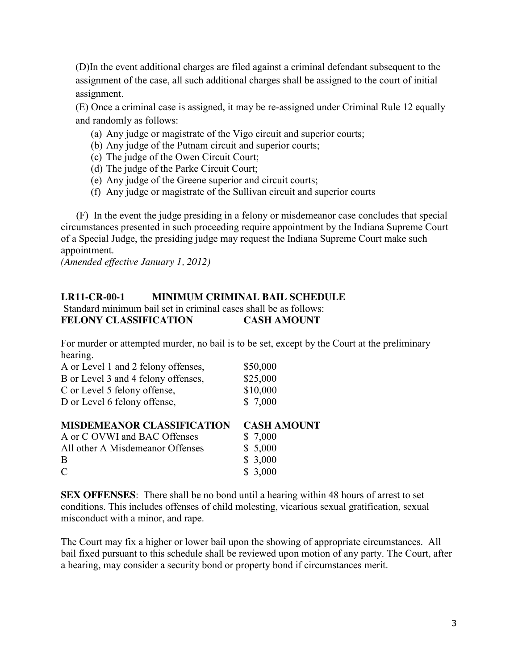(D)In the event additional charges are filed against a criminal defendant subsequent to the assignment of the case, all such additional charges shall be assigned to the court of initial assignment.

(E) Once a criminal case is assigned, it may be re-assigned under Criminal Rule 12 equally and randomly as follows:

- (a) Any judge or magistrate of the Vigo circuit and superior courts;
- (b) Any judge of the Putnam circuit and superior courts;
- (c) The judge of the Owen Circuit Court;
- (d) The judge of the Parke Circuit Court;
- (e) Any judge of the Greene superior and circuit courts;
- (f) Any judge or magistrate of the Sullivan circuit and superior courts

 (F) In the event the judge presiding in a felony or misdemeanor case concludes that special circumstances presented in such proceeding require appointment by the Indiana Supreme Court of a Special Judge, the presiding judge may request the Indiana Supreme Court make such appointment.

*(Amended effective January 1, 2012)*

## **LR11-CR-00-1 MINIMUM CRIMINAL BAIL SCHEDULE**

Standard minimum bail set in criminal cases shall be as follows: **FELONY CLASSIFICATION CASH AMOUNT** 

For murder or attempted murder, no bail is to be set, except by the Court at the preliminary hearing.

| A or Level 1 and 2 felony offenses, | \$50,000 |
|-------------------------------------|----------|
| B or Level 3 and 4 felony offenses, | \$25,000 |
| C or Level 5 felony offense,        | \$10,000 |
| D or Level 6 felony offense,        | \$7,000  |
|                                     |          |

# **MISDEMEANOR CLASSIFICATION CASH AMOUNT**

| A or C OVWI and BAC Offenses     | \$7,000 |
|----------------------------------|---------|
| All other A Misdemeanor Offenses | \$5,000 |
| B                                | \$3,000 |
| C                                | \$3,000 |

**SEX OFFENSES**: There shall be no bond until a hearing within 48 hours of arrest to set conditions. This includes offenses of child molesting, vicarious sexual gratification, sexual misconduct with a minor, and rape.

The Court may fix a higher or lower bail upon the showing of appropriate circumstances. All bail fixed pursuant to this schedule shall be reviewed upon motion of any party. The Court, after a hearing, may consider a security bond or property bond if circumstances merit.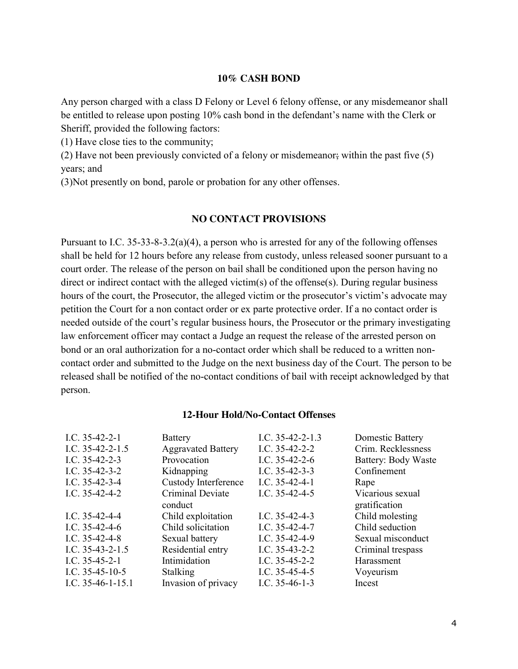#### **10% CASH BOND**

Any person charged with a class D Felony or Level 6 felony offense, or any misdemeanor shall be entitled to release upon posting 10% cash bond in the defendant's name with the Clerk or Sheriff, provided the following factors:

(1) Have close ties to the community;

(2) Have not been previously convicted of a felony or misdemeanor; within the past five (5) years; and

(3)Not presently on bond, parole or probation for any other offenses.

### **NO CONTACT PROVISIONS**

Pursuant to I.C. 35-33-8-3.2(a)(4), a person who is arrested for any of the following offenses shall be held for 12 hours before any release from custody, unless released sooner pursuant to a court order. The release of the person on bail shall be conditioned upon the person having no direct or indirect contact with the alleged victim(s) of the offense(s). During regular business hours of the court, the Prosecutor, the alleged victim or the prosecutor's victim's advocate may petition the Court for a non contact order or ex parte protective order. If a no contact order is needed outside of the court's regular business hours, the Prosecutor or the primary investigating law enforcement officer may contact a Judge an request the release of the arrested person on bond or an oral authorization for a no-contact order which shall be reduced to a written noncontact order and submitted to the Judge on the next business day of the Court. The person to be released shall be notified of the no-contact conditions of bail with receipt acknowledged by that person.

#### **12-Hour Hold/No-Contact Offenses**

| I.C. $35-42-2-1$    | <b>Battery</b>            | I.C. $35-42-2-1.3$ | <b>Domestic Battery</b>    |
|---------------------|---------------------------|--------------------|----------------------------|
| I.C. $35-42-2-1.5$  | <b>Aggravated Battery</b> | I.C. $35-42-2-2$   | Crim. Recklessness         |
| I.C. $35-42-2-3$    | Provocation               | I.C. $35-42-2-6$   | <b>Battery: Body Waste</b> |
| I.C. $35-42-3-2$    | Kidnapping                | I.C. $35-42-3-3$   | Confinement                |
| I.C. $35-42-3-4$    | Custody Interference      | I.C. $35-42-4-1$   | Rape                       |
| I.C. $35-42-4-2$    | Criminal Deviate          | I.C. $35-42-4-5$   | Vicarious sexual           |
|                     | conduct                   |                    | gratification              |
| I.C. $35-42-4-4$    | Child exploitation        | I.C. $35-42-4-3$   | Child molesting            |
| I.C. $35-42-4-6$    | Child solicitation        | I.C. 35-42-4-7     | Child seduction            |
| I.C. $35-42-4-8$    | Sexual battery            | I.C. $35-42-4-9$   | Sexual misconduct          |
| I.C. $35-43-2-1.5$  | Residential entry         | I.C. $35-43-2-2$   | Criminal trespass          |
| I.C. $35-45-2-1$    | Intimidation              | I.C. $35-45-2-2$   | Harassment                 |
| I.C. $35-45-10-5$   | <b>Stalking</b>           | I.C. $35-45-4-5$   | Voyeurism                  |
| I.C. $35-46-1-15.1$ | Invasion of privacy       | I.C. $35-46-1-3$   | Incest                     |